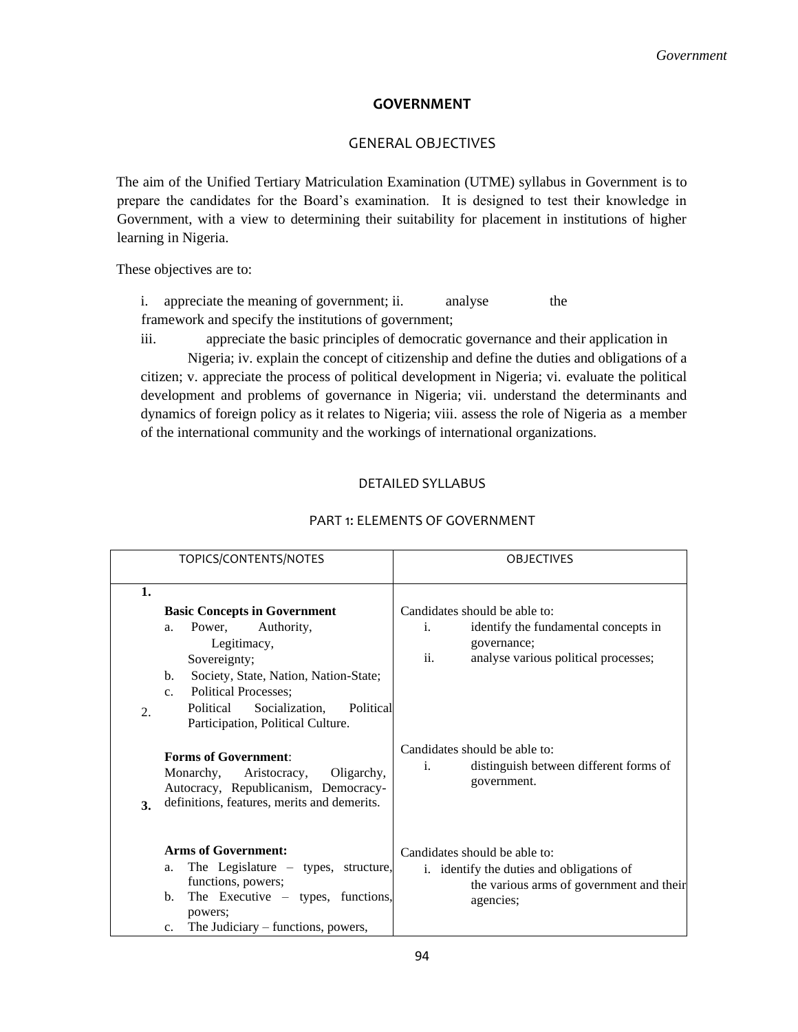# **GOVERNMENT**

# GENERAL OBJECTIVES

The aim of the Unified Tertiary Matriculation Examination (UTME) syllabus in Government is to prepare the candidates for the Board's examination. It is designed to test their knowledge in Government, with a view to determining their suitability for placement in institutions of higher learning in Nigeria.

These objectives are to:

i. appreciate the meaning of government; ii. analyse the framework and specify the institutions of government;

iii. appreciate the basic principles of democratic governance and their application in

Nigeria; iv. explain the concept of citizenship and define the duties and obligations of a citizen; v. appreciate the process of political development in Nigeria; vi. evaluate the political development and problems of governance in Nigeria; vii. understand the determinants and dynamics of foreign policy as it relates to Nigeria; viii. assess the role of Nigeria as a member of the international community and the workings of international organizations.

# DETAILED SYLLABUS

| TOPICS/CONTENTS/NOTES                                                                                                                                                                                                    | <b>OBJECTIVES</b>                                                                                                                         |
|--------------------------------------------------------------------------------------------------------------------------------------------------------------------------------------------------------------------------|-------------------------------------------------------------------------------------------------------------------------------------------|
| 1.                                                                                                                                                                                                                       |                                                                                                                                           |
| <b>Basic Concepts in Government</b><br>Authority,<br>Power,<br>a.<br>Legitimacy,<br>Sovereignty;<br>Society, State, Nation, Nation-State;<br>$\mathbf{b}$ .                                                              | Candidates should be able to:<br>identify the fundamental concepts in<br>i.<br>governance;<br>ii.<br>analyse various political processes; |
| <b>Political Processes;</b><br>$c_{\cdot}$<br>Political<br>Socialization.<br>Political<br>2.<br>Participation, Political Culture.                                                                                        |                                                                                                                                           |
| <b>Forms of Government:</b><br>Oligarchy,<br>Monarchy,<br>Aristocracy,<br>Autocracy, Republicanism, Democracy-<br>definitions, features, merits and demerits.<br>3.                                                      | Candidates should be able to:<br>distinguish between different forms of<br>i.<br>government.                                              |
| <b>Arms of Government:</b><br>The Legislature $-$ types, structure,<br>a.<br>functions, powers;<br>The Executive $-$ types, functions,<br>$\mathbf{b}$ .<br>powers;<br>The Judiciary – functions, powers,<br>$c_{\cdot}$ | Candidates should be able to:<br>i. identify the duties and obligations of<br>the various arms of government and their<br>agencies;       |

# PART 1: ELEMENTS OF GOVERNMENT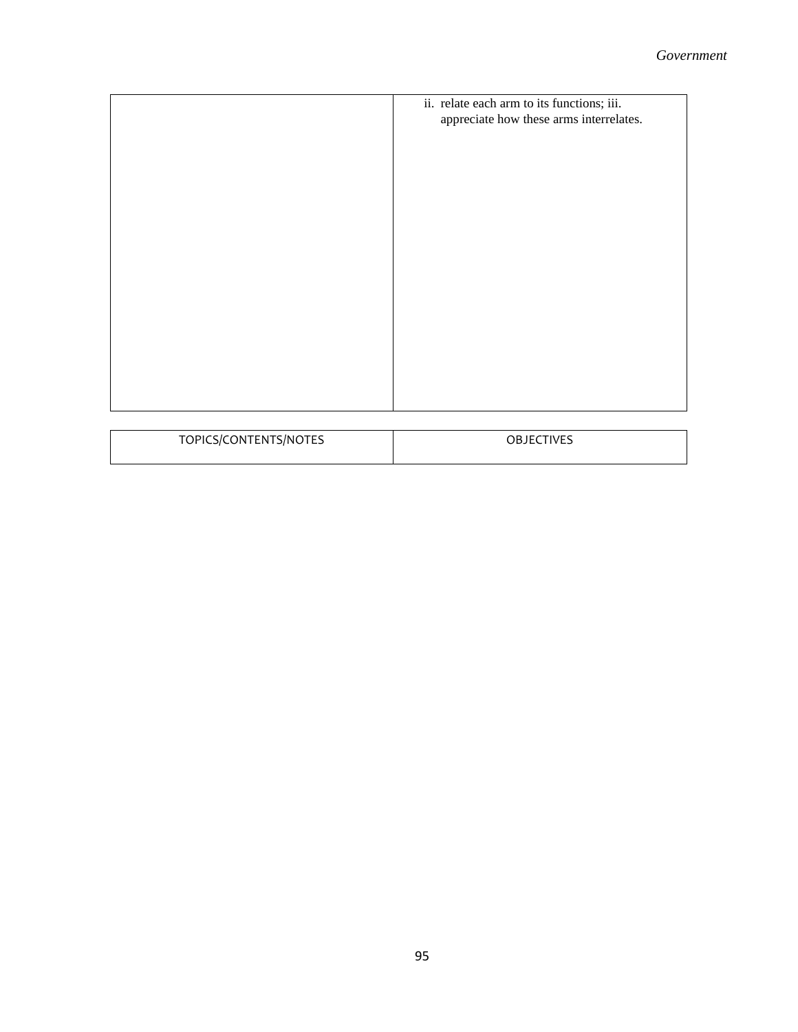| ii. relate each arm to its functions; iii.<br>appreciate how these arms interrelates. |
|---------------------------------------------------------------------------------------|
|                                                                                       |
|                                                                                       |
|                                                                                       |
|                                                                                       |
|                                                                                       |
|                                                                                       |

| TOPICS/CONTENTS/NOTES | <b>OBJECTIVES</b> |
|-----------------------|-------------------|
|                       |                   |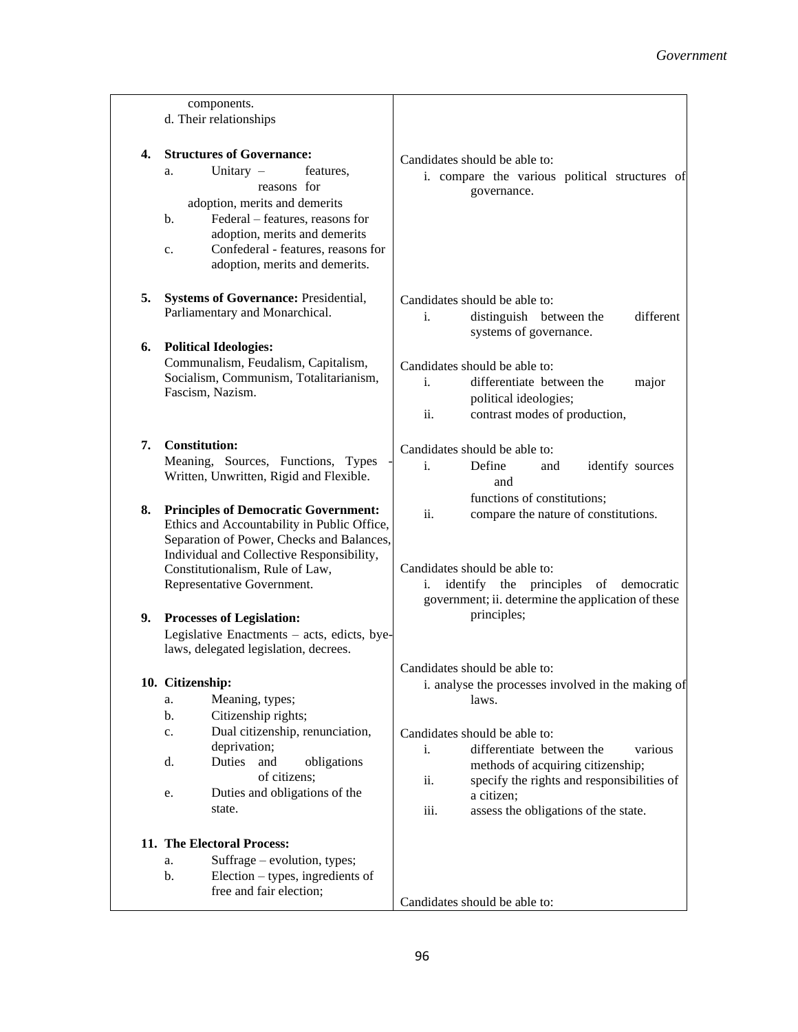|    | components.<br>d. Their relationships                                                  |                                                                             |
|----|----------------------------------------------------------------------------------------|-----------------------------------------------------------------------------|
|    |                                                                                        |                                                                             |
| 4. | <b>Structures of Governance:</b>                                                       |                                                                             |
|    | Unitary -<br>features,<br>a.                                                           | Candidates should be able to:                                               |
|    | reasons for                                                                            | i. compare the various political structures of                              |
|    | adoption, merits and demerits                                                          | governance.                                                                 |
|    | Federal – features, reasons for<br>b.                                                  |                                                                             |
|    | adoption, merits and demerits                                                          |                                                                             |
|    | Confederal - features, reasons for<br>c.                                               |                                                                             |
|    | adoption, merits and demerits.                                                         |                                                                             |
|    |                                                                                        |                                                                             |
| 5. | <b>Systems of Governance: Presidential,</b>                                            | Candidates should be able to:                                               |
|    | Parliamentary and Monarchical.                                                         | $\mathbf{i}$ .<br>distinguish between the<br>different                      |
|    |                                                                                        | systems of governance.                                                      |
| 6. | <b>Political Ideologies:</b><br>Communalism, Feudalism, Capitalism,                    |                                                                             |
|    | Socialism, Communism, Totalitarianism,                                                 | Candidates should be able to:                                               |
|    | Fascism, Nazism.                                                                       | i.<br>differentiate between the<br>major                                    |
|    |                                                                                        | political ideologies;                                                       |
|    |                                                                                        | contrast modes of production,<br>ii.                                        |
| 7. | <b>Constitution:</b>                                                                   | Candidates should be able to:                                               |
|    | Meaning, Sources, Functions, Types                                                     | i.<br>Define<br>identify sources<br>and                                     |
|    | Written, Unwritten, Rigid and Flexible.                                                | and                                                                         |
|    |                                                                                        | functions of constitutions;                                                 |
| 8. | <b>Principles of Democratic Government:</b>                                            | ii.<br>compare the nature of constitutions.                                 |
|    | Ethics and Accountability in Public Office,                                            |                                                                             |
|    | Separation of Power, Checks and Balances,<br>Individual and Collective Responsibility, |                                                                             |
|    | Constitutionalism, Rule of Law,                                                        | Candidates should be able to:                                               |
|    | Representative Government.                                                             | identify the principles of<br>i.<br>democratic                              |
|    |                                                                                        | government; ii. determine the application of these                          |
| 9. | <b>Processes of Legislation:</b>                                                       | principles;                                                                 |
|    | Legislative Enactments - acts, edicts, bye-                                            |                                                                             |
|    | laws, delegated legislation, decrees.                                                  |                                                                             |
|    |                                                                                        | Candidates should be able to:                                               |
|    | 10. Citizenship:                                                                       | i. analyse the processes involved in the making of                          |
|    | Meaning, types;<br>a.<br>b.                                                            | laws.                                                                       |
|    | Citizenship rights;<br>Dual citizenship, renunciation,<br>c.                           |                                                                             |
|    | deprivation;                                                                           | Candidates should be able to:<br>differentiate between the<br>i.<br>various |
|    | Duties<br>d.<br>and<br>obligations                                                     | methods of acquiring citizenship;                                           |
|    | of citizens;                                                                           | specify the rights and responsibilities of<br>ii.                           |
|    | Duties and obligations of the<br>e.                                                    | a citizen;                                                                  |
|    | state.                                                                                 | iii.<br>assess the obligations of the state.                                |
|    |                                                                                        |                                                                             |
|    | 11. The Electoral Process:<br>Suffrage – evolution, types;                             |                                                                             |
|    | a.<br>Election $-$ types, ingredients of<br>b.                                         |                                                                             |
|    | free and fair election;                                                                |                                                                             |
|    |                                                                                        | Candidates should be able to:                                               |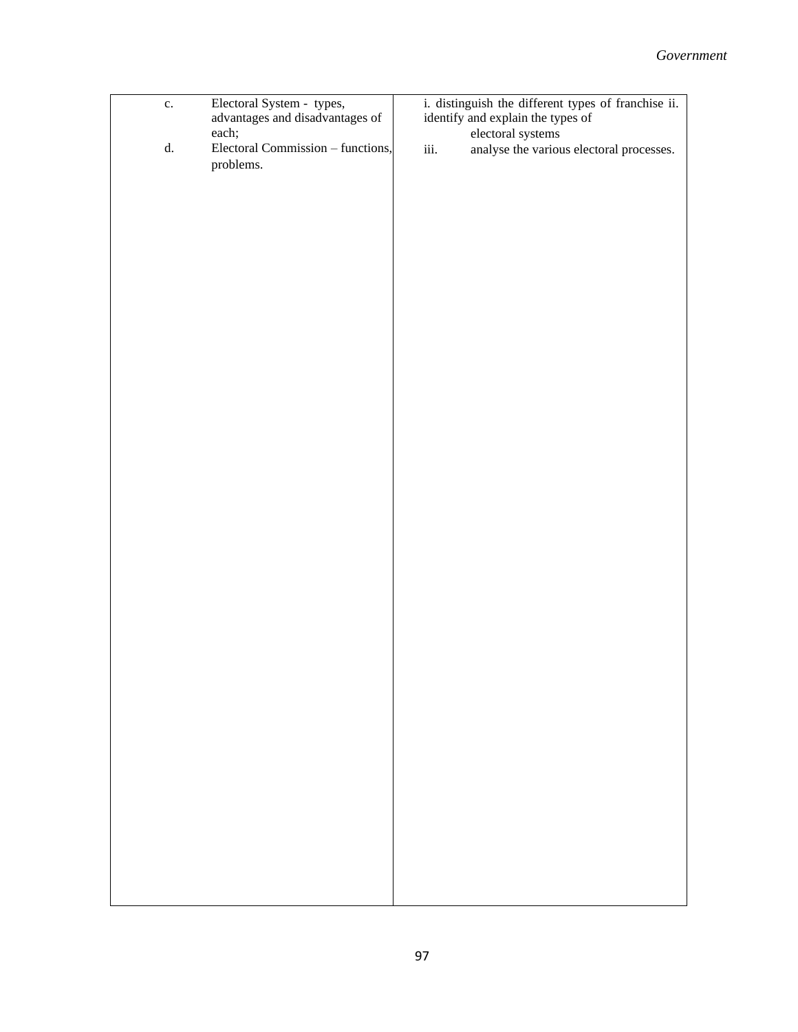| $\mathbf{c}.$ | Electoral System - types,                      | i. distinguish the different types of franchise ii.<br>identify and explain the types of |
|---------------|------------------------------------------------|------------------------------------------------------------------------------------------|
|               | advantages and disadvantages of<br>each;       | electoral systems                                                                        |
| $\mathrm{d}.$ | Electoral Commission - functions,<br>problems. | analyse the various electoral processes.<br>iii.                                         |
|               |                                                |                                                                                          |
|               |                                                |                                                                                          |
|               |                                                |                                                                                          |
|               |                                                |                                                                                          |
|               |                                                |                                                                                          |
|               |                                                |                                                                                          |
|               |                                                |                                                                                          |
|               |                                                |                                                                                          |
|               |                                                |                                                                                          |
|               |                                                |                                                                                          |
|               |                                                |                                                                                          |
|               |                                                |                                                                                          |
|               |                                                |                                                                                          |
|               |                                                |                                                                                          |
|               |                                                |                                                                                          |
|               |                                                |                                                                                          |
|               |                                                |                                                                                          |
|               |                                                |                                                                                          |
|               |                                                |                                                                                          |
|               |                                                |                                                                                          |
|               |                                                |                                                                                          |
|               |                                                |                                                                                          |
|               |                                                |                                                                                          |
|               |                                                |                                                                                          |
|               |                                                |                                                                                          |
|               |                                                |                                                                                          |
|               |                                                |                                                                                          |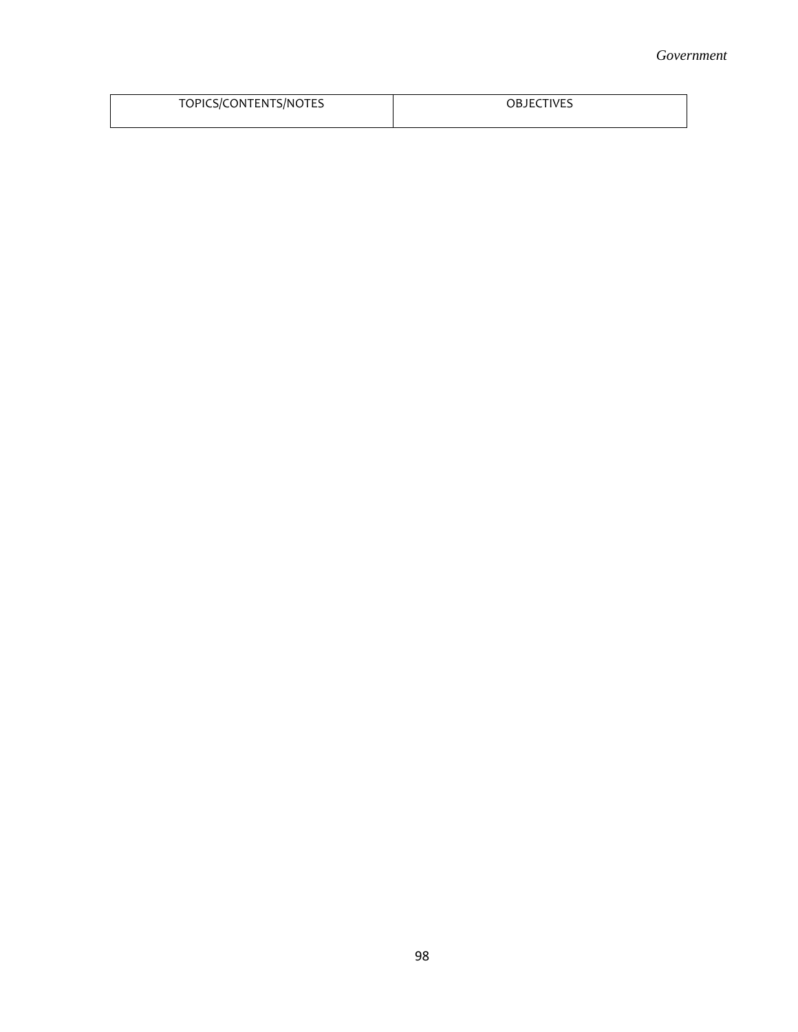| TOPICS/CONTENTS/NOTES | OBJECTIVES |
|-----------------------|------------|
|                       |            |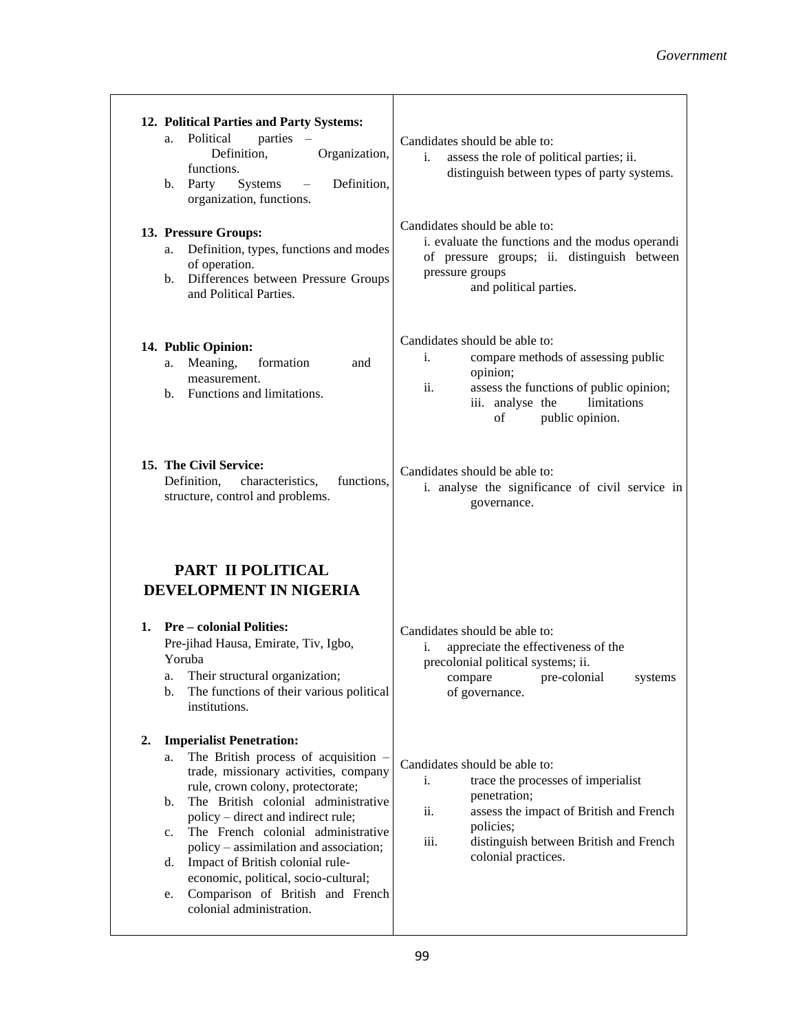| 12. Political Parties and Party Systems:<br>Political<br>parties<br>a.<br>Definition,<br>Organization,<br>functions.<br>Definition,<br>Systems<br>b. Party<br>organization, functions.   | Candidates should be able to:<br>assess the role of political parties; ii.<br>i.<br>distinguish between types of party systems.                                                                      |
|------------------------------------------------------------------------------------------------------------------------------------------------------------------------------------------|------------------------------------------------------------------------------------------------------------------------------------------------------------------------------------------------------|
| 13. Pressure Groups:<br>Definition, types, functions and modes<br>a.<br>of operation.<br>b. Differences between Pressure Groups<br>and Political Parties.                                | Candidates should be able to:<br>i. evaluate the functions and the modus operandi<br>of pressure groups; ii. distinguish between<br>pressure groups<br>and political parties.                        |
| 14. Public Opinion:<br>Meaning,<br>formation<br>and<br>а.<br>measurement.<br>b. Functions and limitations.                                                                               | Candidates should be able to:<br>compare methods of assessing public<br>i.<br>opinion;<br>ii.<br>assess the functions of public opinion;<br>iii. analyse the<br>limitations<br>public opinion.<br>of |
| 15. The Civil Service:<br>Definition,<br>characteristics,<br>functions.<br>structure, control and problems.                                                                              | Candidates should be able to:<br>i. analyse the significance of civil service in<br>governance.                                                                                                      |
| PART II POLITICAL<br>DEVELOPMENT IN NIGERIA                                                                                                                                              |                                                                                                                                                                                                      |
| 1. Pre – colonial Polities:<br>Pre-jihad Hausa, Emirate, Tiv, Igbo,<br>Yoruba<br>Their structural organization;<br>a.<br>The functions of their various political<br>b.<br>institutions. | Candidates should be able to:<br>appreciate the effectiveness of the<br>i.<br>precolonial political systems; ii.<br>pre-colonial<br>compare<br>systems<br>of governance.                             |
|                                                                                                                                                                                          |                                                                                                                                                                                                      |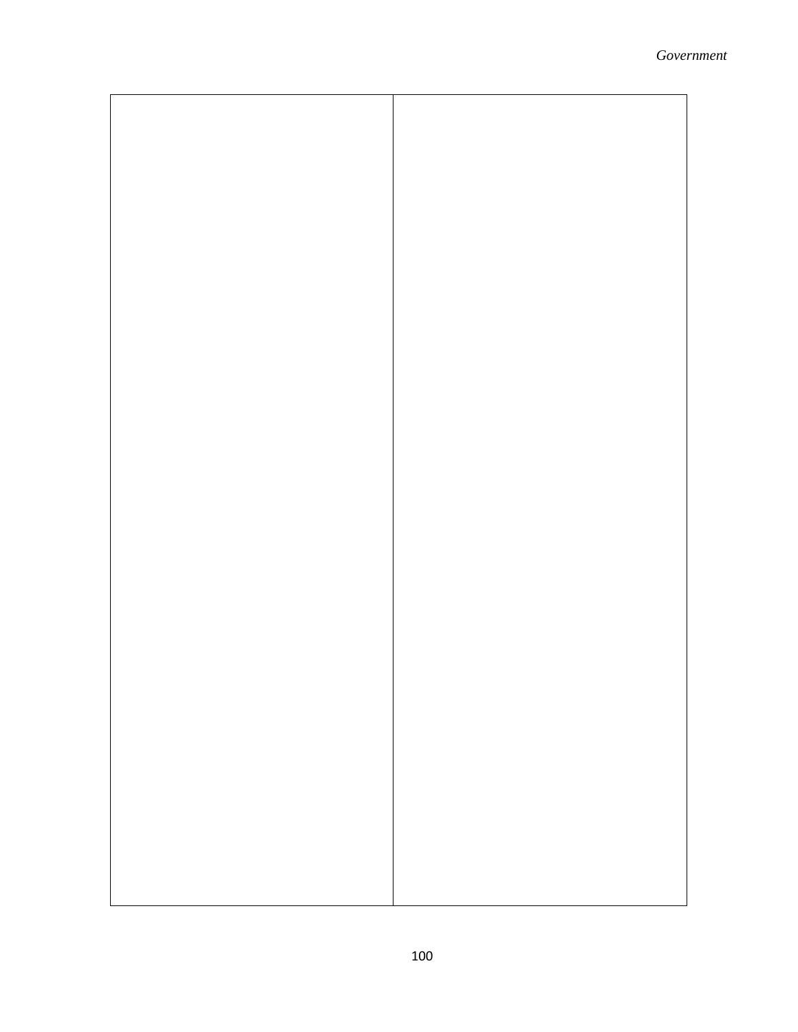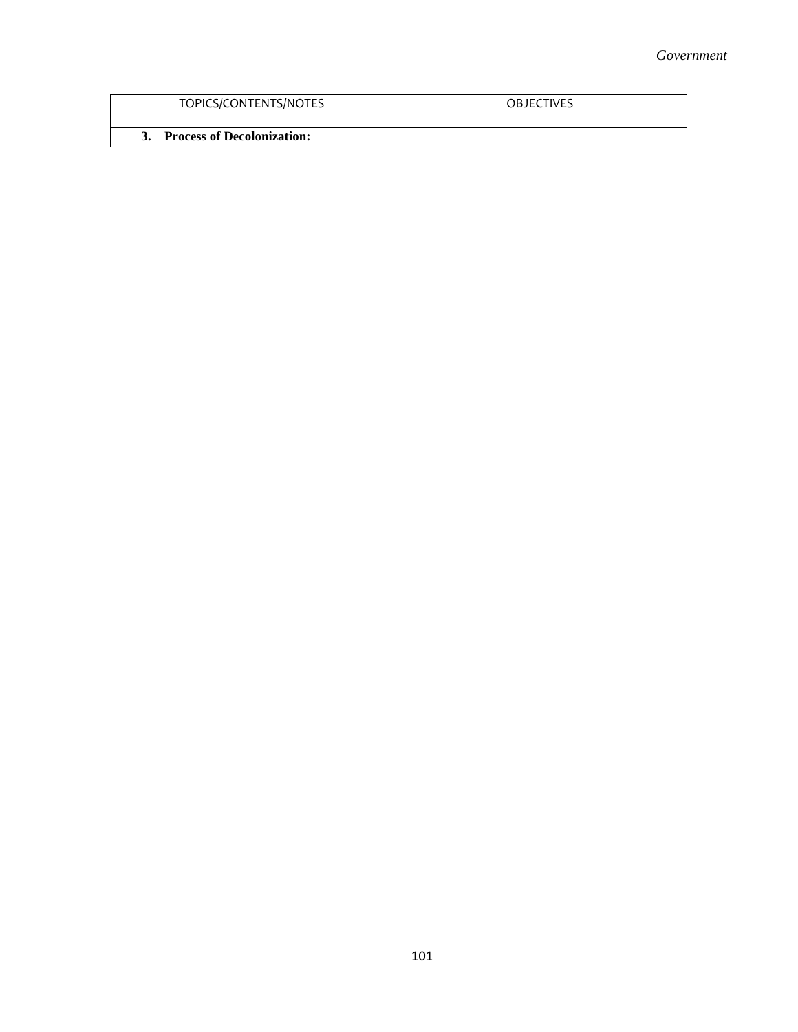| TOPICS/CONTENTS/NOTES             | <b>OBJECTIVES</b> |
|-----------------------------------|-------------------|
| <b>Process of Decolonization:</b> |                   |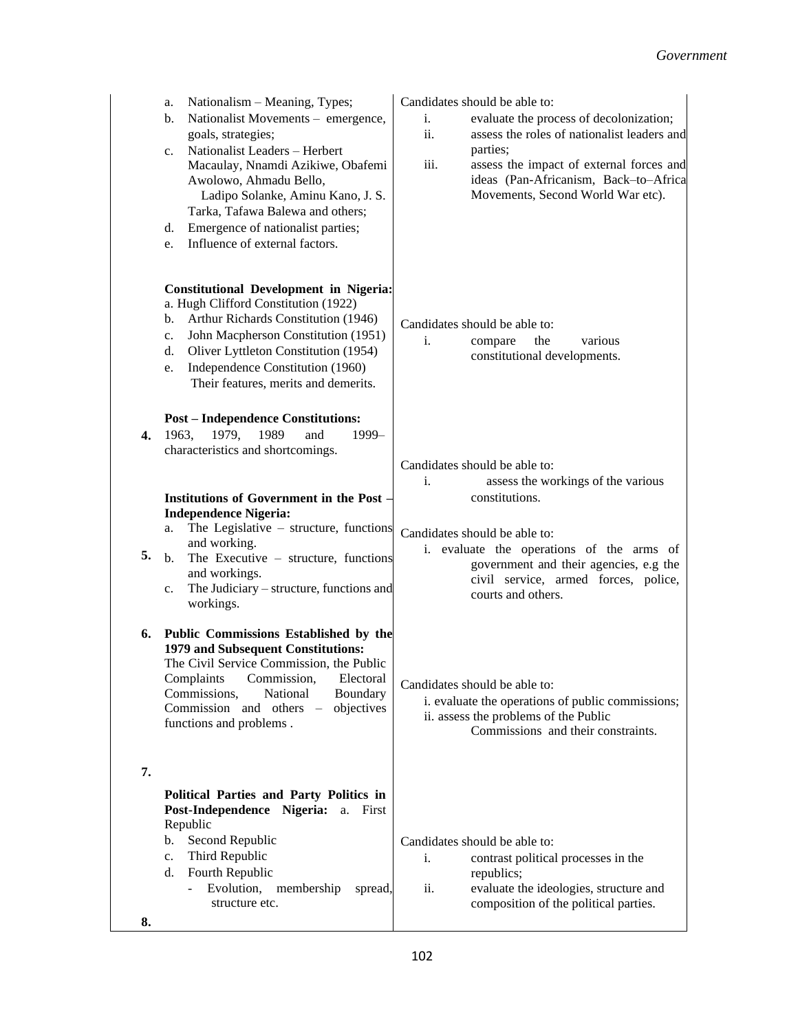|          | Nationalism - Meaning, Types;<br>a.<br>Nationalist Movements – emergence,<br>b.<br>goals, strategies;<br>Nationalist Leaders - Herbert<br>$C_{\star}$<br>Macaulay, Nnamdi Azikiwe, Obafemi<br>Awolowo, Ahmadu Bello,<br>Ladipo Solanke, Aminu Kano, J. S.<br>Tarka, Tafawa Balewa and others;<br>Emergence of nationalist parties;<br>d.<br>Influence of external factors.<br>e. | Candidates should be able to:<br>evaluate the process of decolonization;<br>i.<br>ii.<br>assess the roles of nationalist leaders and<br>parties;<br>iii.<br>assess the impact of external forces and<br>ideas (Pan-Africanism, Back-to-Africa<br>Movements, Second World War etc). |
|----------|----------------------------------------------------------------------------------------------------------------------------------------------------------------------------------------------------------------------------------------------------------------------------------------------------------------------------------------------------------------------------------|------------------------------------------------------------------------------------------------------------------------------------------------------------------------------------------------------------------------------------------------------------------------------------|
|          | <b>Constitutional Development in Nigeria:</b><br>a. Hugh Clifford Constitution (1922)<br>Arthur Richards Constitution (1946)<br>$\mathbf{b}$ .<br>John Macpherson Constitution (1951)<br>C <sub>1</sub><br>Oliver Lyttleton Constitution (1954)<br>d.<br>Independence Constitution (1960)<br>e.<br>Their features, merits and demerits.                                          | Candidates should be able to:<br>i.<br>the<br>various<br>compare<br>constitutional developments.                                                                                                                                                                                   |
| 4.<br>5. | <b>Post – Independence Constitutions:</b><br>1979,<br>1963,<br>1989<br>and<br>1999-<br>characteristics and shortcomings.<br>Institutions of Government in the Post -<br><b>Independence Nigeria:</b><br>The Legislative $-$ structure, functions<br>a.<br>and working.<br>The Executive $-$ structure, functions<br>$\mathbf{b}$ .                                               | Candidates should be able to:<br>i.<br>assess the workings of the various<br>constitutions.<br>Candidates should be able to:<br>i. evaluate the operations of the arms of<br>government and their agencies, e.g the                                                                |
|          | and workings.<br>The Judiciary – structure, functions and<br>c.<br>workings.                                                                                                                                                                                                                                                                                                     | civil service, armed forces, police,<br>courts and others.                                                                                                                                                                                                                         |
|          | 6. Public Commissions Established by the<br>1979 and Subsequent Constitutions:<br>The Civil Service Commission, the Public<br>Complaints<br>Electoral<br>Commission,<br>Commissions,<br>National<br>Boundary<br>Commission and others $-$<br>objectives<br>functions and problems.                                                                                               | Candidates should be able to:<br>i. evaluate the operations of public commissions;<br>ii. assess the problems of the Public<br>Commissions and their constraints.                                                                                                                  |
| 7.       | Political Parties and Party Politics in                                                                                                                                                                                                                                                                                                                                          |                                                                                                                                                                                                                                                                                    |
| 8.       | Post-Independence Nigeria:<br>a.<br>First<br>Republic<br>Second Republic<br>b.<br>Third Republic<br>c.<br>Fourth Republic<br>d.<br>Evolution,<br>membership<br>spread,<br>structure etc.                                                                                                                                                                                         | Candidates should be able to:<br>contrast political processes in the<br>i.<br>republics;<br>evaluate the ideologies, structure and<br>ii.<br>composition of the political parties.                                                                                                 |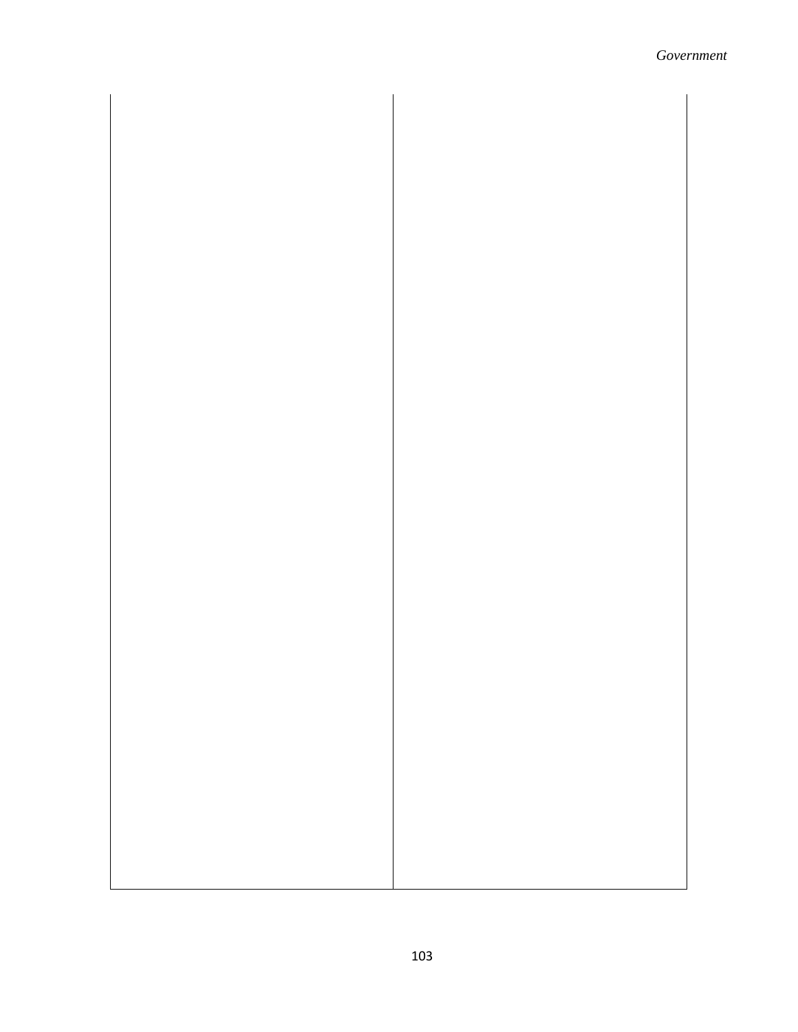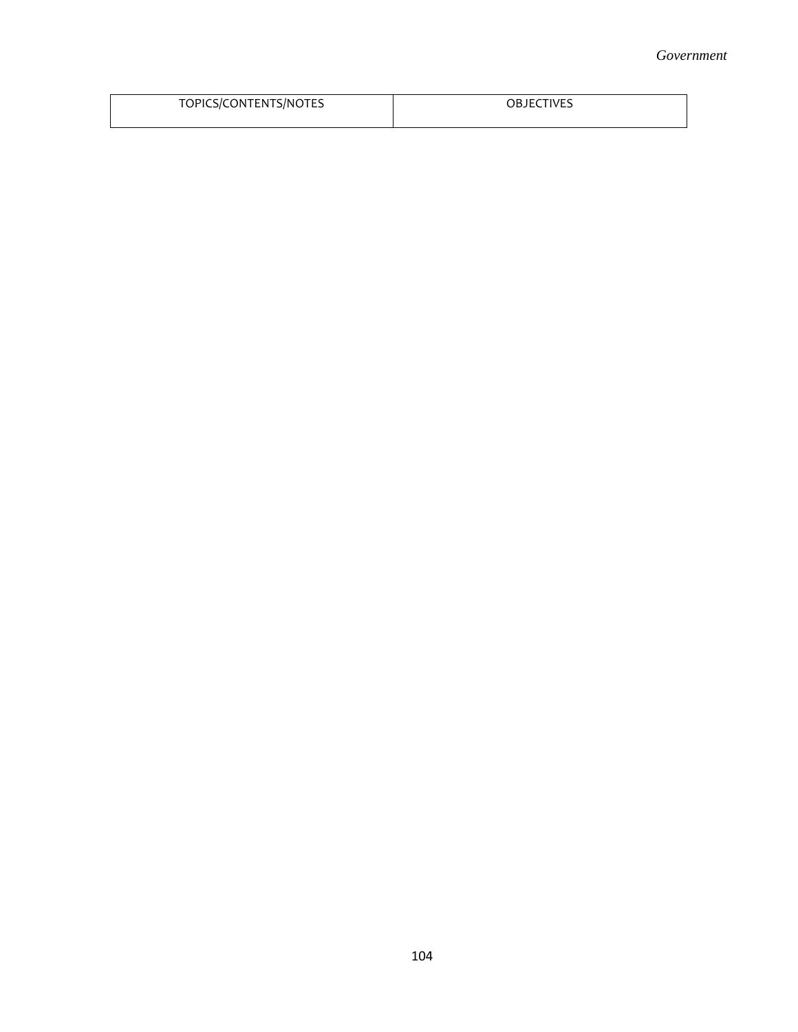| TOPICS/CONTENTS/NOTES | OBJECTIVES |
|-----------------------|------------|
|                       |            |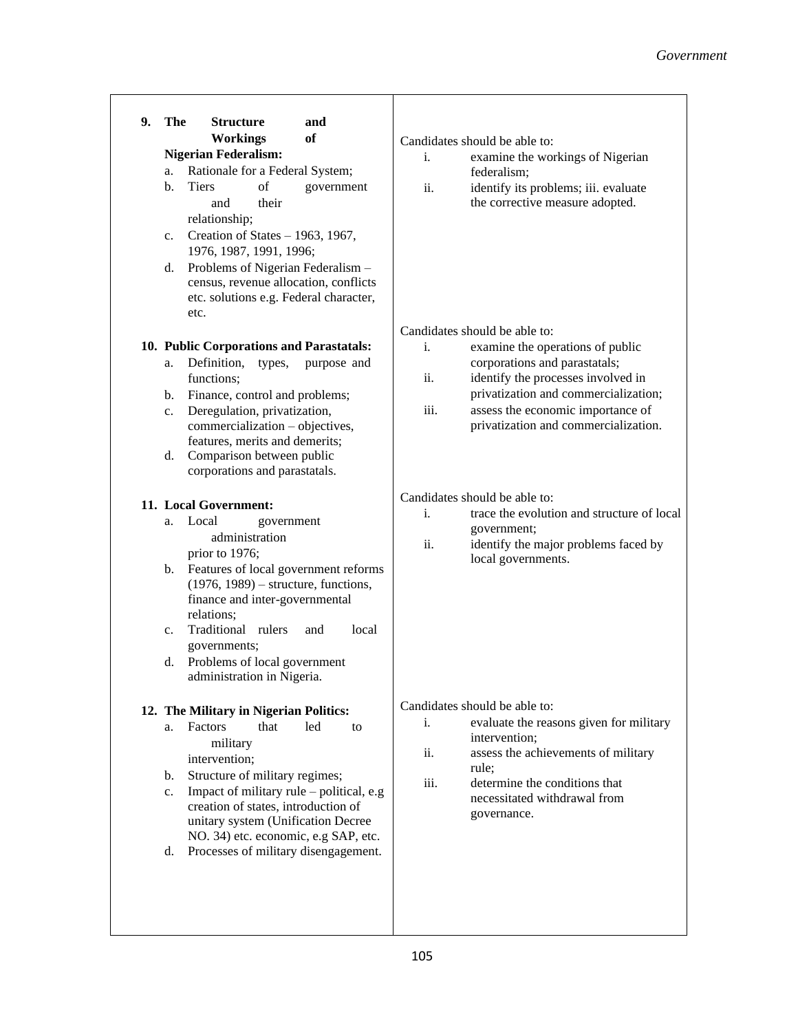### **9. The Structure and Workings of Nigerian Federalism:**

- a. Rationale for a Federal System;
- b. Tiers of government and their relationship;
- c. Creation of States 1963, 1967, 1976, 1987, 1991, 1996;
- d. Problems of Nigerian Federalism census, revenue allocation, conflicts etc. solutions e.g. Federal character, etc.

## **10. Public Corporations and Parastatals:**

- a. Definition, types, purpose and functions;
- b. Finance, control and problems;
- c. Deregulation, privatization, commercialization – objectives, features, merits and demerits;
- d. Comparison between public corporations and parastatals.

# **11. Local Government:**

- a. Local government administration prior to 1976;
- b. Features of local government reforms (1976, 1989) – structure, functions, finance and inter-governmental relations;
- c. Traditional rulers and local governments;
- d. Problems of local government administration in Nigeria.

# **12. The Military in Nigerian Politics:**

- a. Factors that led to military intervention;
- b. Structure of military regimes;
- c. Impact of military rule political, e.g creation of states, introduction of unitary system (Unification Decree NO. 34) etc. economic, e.g SAP, etc.
- d. Processes of military disengagement.

#### Candidates should be able to:

- i. examine the workings of Nigerian federalism;
- ii. identify its problems; iii. evaluate the corrective measure adopted.

## Candidates should be able to:

- i. examine the operations of public corporations and parastatals;
- ii. identify the processes involved in privatization and commercialization;
- iii. assess the economic importance of privatization and commercialization.

## Candidates should be able to:

- i. trace the evolution and structure of local government;
- ii. identify the major problems faced by local governments.

#### Candidates should be able to:

- i. evaluate the reasons given for military intervention;
- ii. assess the achievements of military rule;
- iii. determine the conditions that necessitated withdrawal from governance.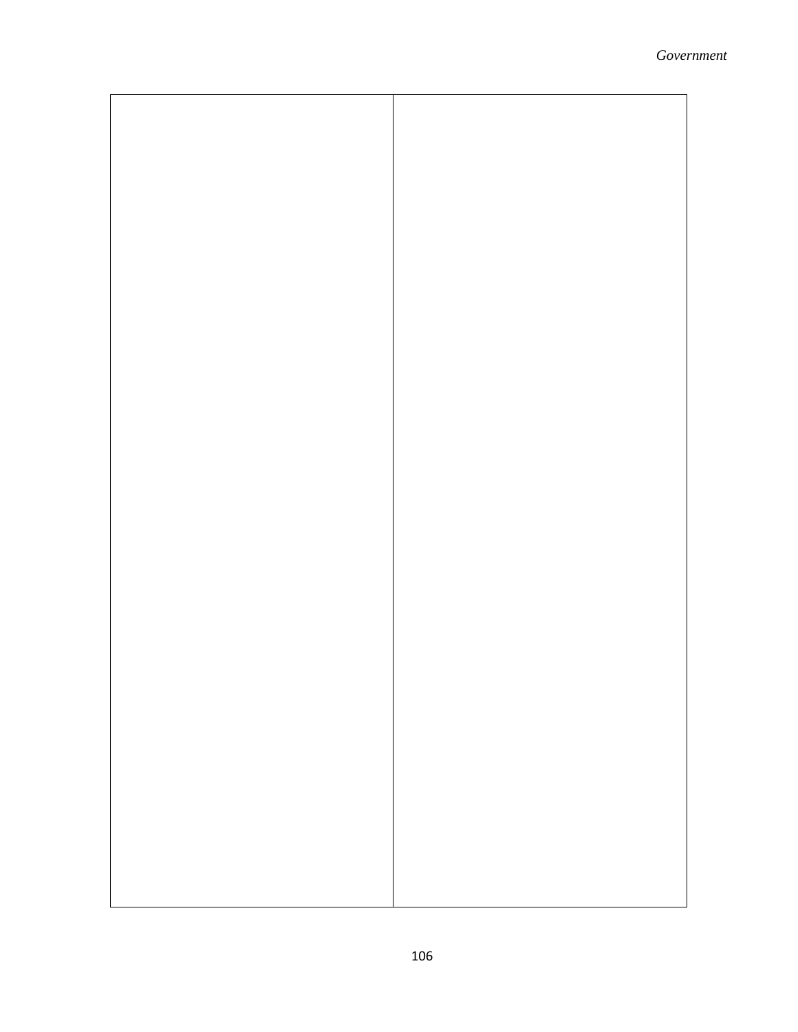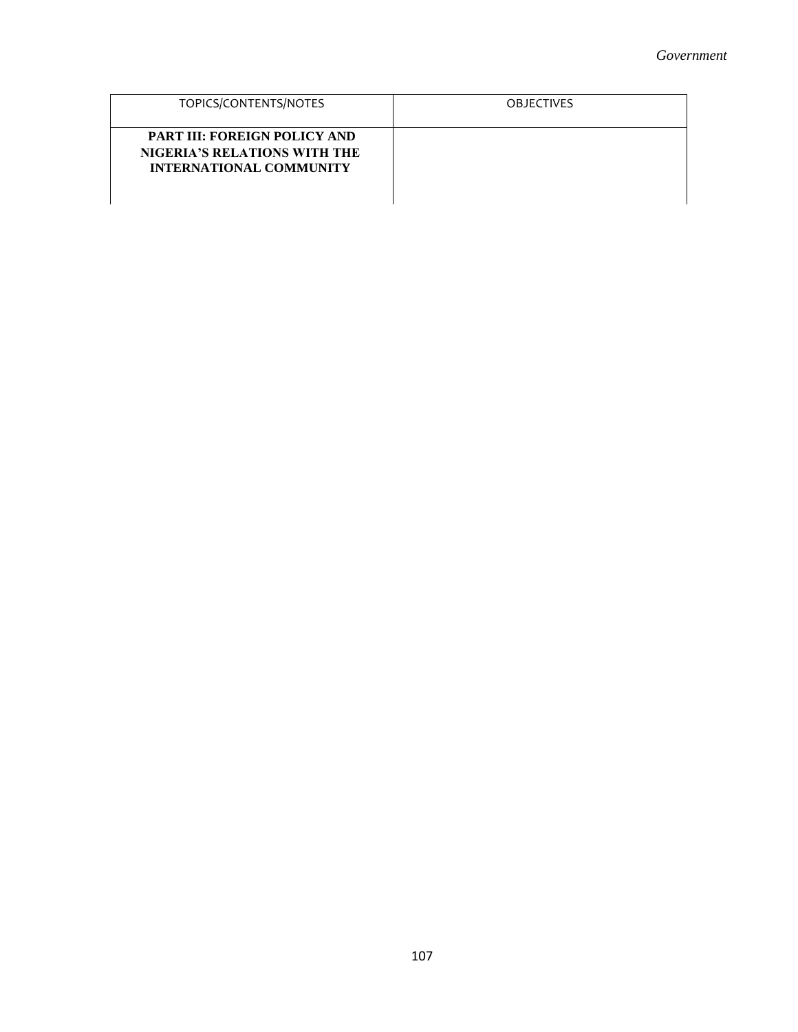| TOPICS/CONTENTS/NOTES                                                                                 | <b>OBJECTIVES</b> |
|-------------------------------------------------------------------------------------------------------|-------------------|
| <b>PART III: FOREIGN POLICY AND</b><br>NIGERIA'S RELATIONS WITH THE<br><b>INTERNATIONAL COMMUNITY</b> |                   |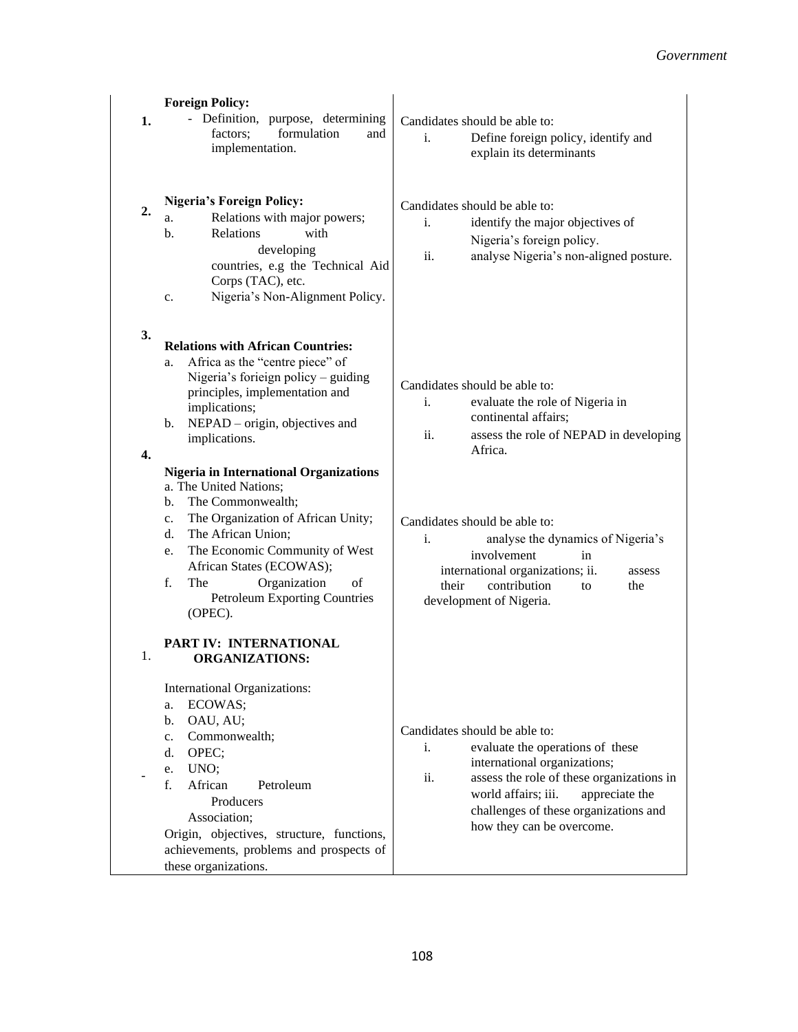| 1.       | <b>Foreign Policy:</b><br>- Definition, purpose, determining<br>formulation<br>factors;<br>and<br>implementation.                                                                                                                                                                                                                                                                                                                                                                                                                                                    | Candidates should be able to:<br>Define foreign policy, identify and<br>i.<br>explain its determinants                                                                                                                                                                                                                                                                     |
|----------|----------------------------------------------------------------------------------------------------------------------------------------------------------------------------------------------------------------------------------------------------------------------------------------------------------------------------------------------------------------------------------------------------------------------------------------------------------------------------------------------------------------------------------------------------------------------|----------------------------------------------------------------------------------------------------------------------------------------------------------------------------------------------------------------------------------------------------------------------------------------------------------------------------------------------------------------------------|
| 2.       | <b>Nigeria's Foreign Policy:</b><br>Relations with major powers;<br>a.<br>with<br>Relations<br>b.<br>developing<br>countries, e.g the Technical Aid<br>Corps (TAC), etc.<br>Nigeria's Non-Alignment Policy.<br>c.                                                                                                                                                                                                                                                                                                                                                    | Candidates should be able to:<br>identify the major objectives of<br>i.<br>Nigeria's foreign policy.<br>ii.<br>analyse Nigeria's non-aligned posture.                                                                                                                                                                                                                      |
| 3.<br>4. | <b>Relations with African Countries:</b><br>Africa as the "centre piece" of<br>a.<br>Nigeria's forieign policy $-$ guiding<br>principles, implementation and<br>implications;<br>b. NEPAD – origin, objectives and<br>implications.<br><b>Nigeria in International Organizations</b><br>a. The United Nations;<br>The Commonwealth;<br>b.<br>The Organization of African Unity;<br>c.<br>The African Union;<br>d.<br>The Economic Community of West<br>e.<br>African States (ECOWAS);<br>Organization<br>f.<br>The<br>of<br>Petroleum Exporting Countries<br>(OPEC). | Candidates should be able to:<br>evaluate the role of Nigeria in<br>i.<br>continental affairs;<br>ii.<br>assess the role of NEPAD in developing<br>Africa.<br>Candidates should be able to:<br>i.<br>analyse the dynamics of Nigeria's<br>involvement<br>in<br>international organizations; ii.<br>assess<br>contribution<br>their<br>the<br>to<br>development of Nigeria. |
| 1.       | PART IV: INTERNATIONAL<br><b>ORGANIZATIONS:</b><br>International Organizations:<br>ECOWAS;<br>a.<br>OAU, AU;<br>b.<br>Commonwealth;<br>c.<br>OPEC;<br>d.<br>UNO;<br>e.<br>African<br>f.<br>Petroleum<br>Producers<br>Association:<br>Origin, objectives, structure, functions,<br>achievements, problems and prospects of<br>these organizations.                                                                                                                                                                                                                    | Candidates should be able to:<br>evaluate the operations of these<br>i.<br>international organizations;<br>ii.<br>assess the role of these organizations in<br>world affairs; iii.<br>appreciate the<br>challenges of these organizations and<br>how they can be overcome.                                                                                                 |